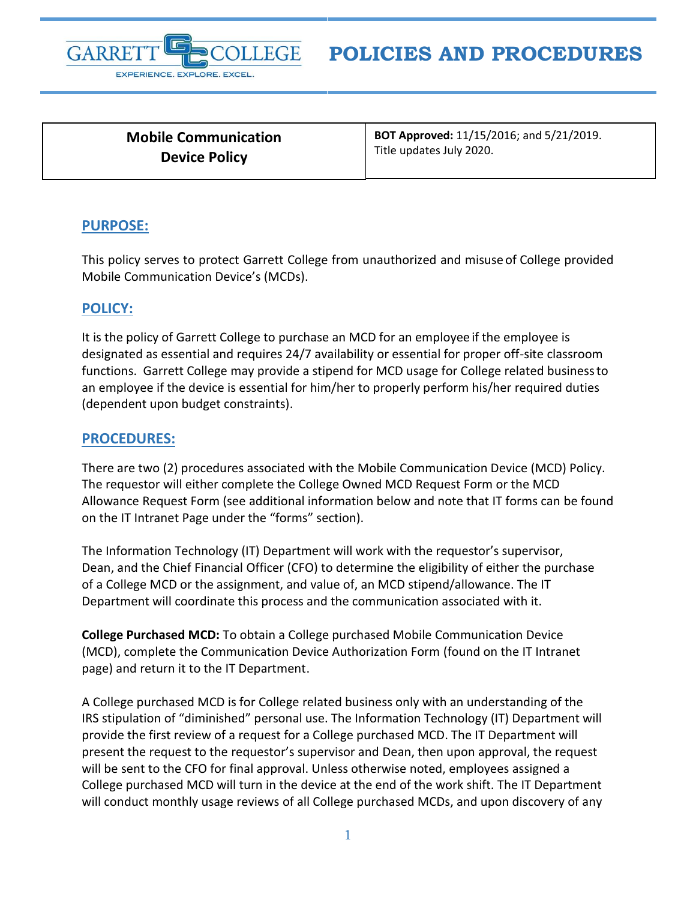

## **POLICIES AND PROCEDURES**

**Mobile Communication Device Policy**

**BOT Approved:** 11/15/2016; and 5/21/2019. Title updates July 2020.

## **PURPOSE:**

This policy serves to protect Garrett College from unauthorized and misuseof College provided Mobile Communication Device's (MCDs).

## **POLICY:**

It is the policy of Garrett College to purchase an MCD for an employee if the employee is designated as essential and requires 24/7 availability or essential for proper off-site classroom functions. Garrett College may provide a stipend for MCD usage for College related business to an employee if the device is essential for him/her to properly perform his/her required duties (dependent upon budget constraints).

## **PROCEDURES:**

There are two (2) procedures associated with the Mobile Communication Device (MCD) Policy. The requestor will either complete the College Owned MCD Request Form or the MCD Allowance Request Form (see additional information below and note that IT forms can be found on the IT Intranet Page under the "forms" section).

The Information Technology (IT) Department will work with the requestor's supervisor, Dean, and the Chief Financial Officer (CFO) to determine the eligibility of either the purchase of a College MCD or the assignment, and value of, an MCD stipend/allowance. The IT Department will coordinate this process and the communication associated with it.

**College Purchased MCD:** To obtain a College purchased Mobile Communication Device (MCD), complete the Communication Device Authorization Form (found on the IT Intranet page) and return it to the IT Department.

A College purchased MCD is for College related business only with an understanding of the IRS stipulation of "diminished" personal use. The Information Technology (IT) Department will provide the first review of a request for a College purchased MCD. The IT Department will present the request to the requestor's supervisor and Dean, then upon approval, the request will be sent to the CFO for final approval. Unless otherwise noted, employees assigned a College purchased MCD will turn in the device at the end of the work shift. The IT Department will conduct monthly usage reviews of all College purchased MCDs, and upon discovery of any